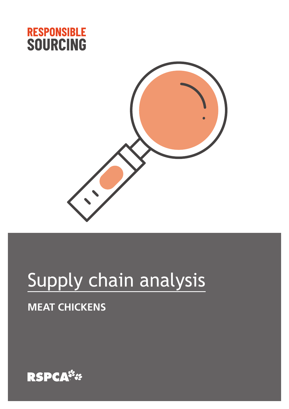



# Supply chain analysis

## **MEAT CHICKENS**